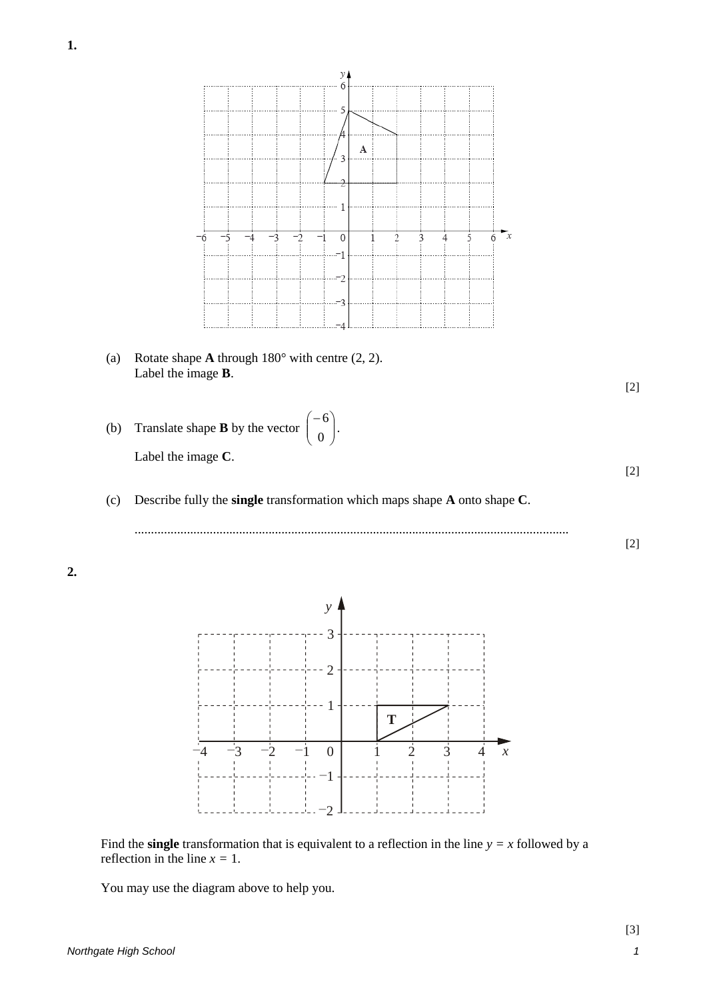

Find the **single** transformation that is equivalent to a reflection in the line  $y = x$  followed by a reflection in the line  $x = 1$ .

You may use the diagram above to help you.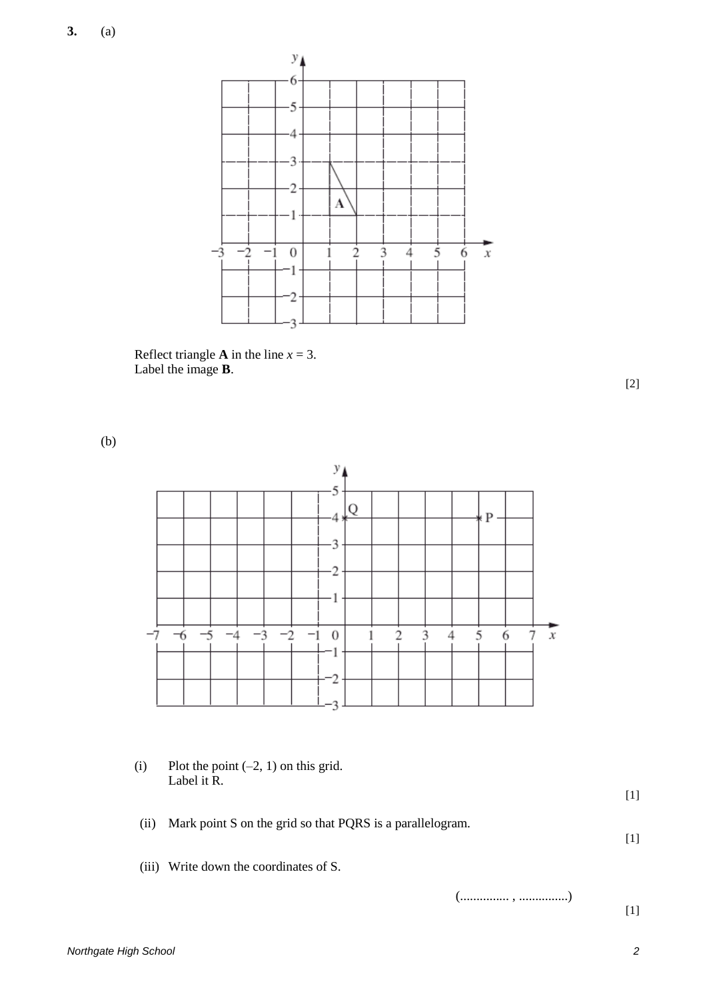

Reflect triangle **A** in the line  $x = 3$ . Label the image **B**.

[2]

(b)



(i) Plot the point  $(-2, 1)$  on this grid. Label it R.

(ii) Mark point S on the grid so that PQRS is a parallelogram.

(iii) Write down the coordinates of S.

(............... , ...............)

[1]

[1]

[1]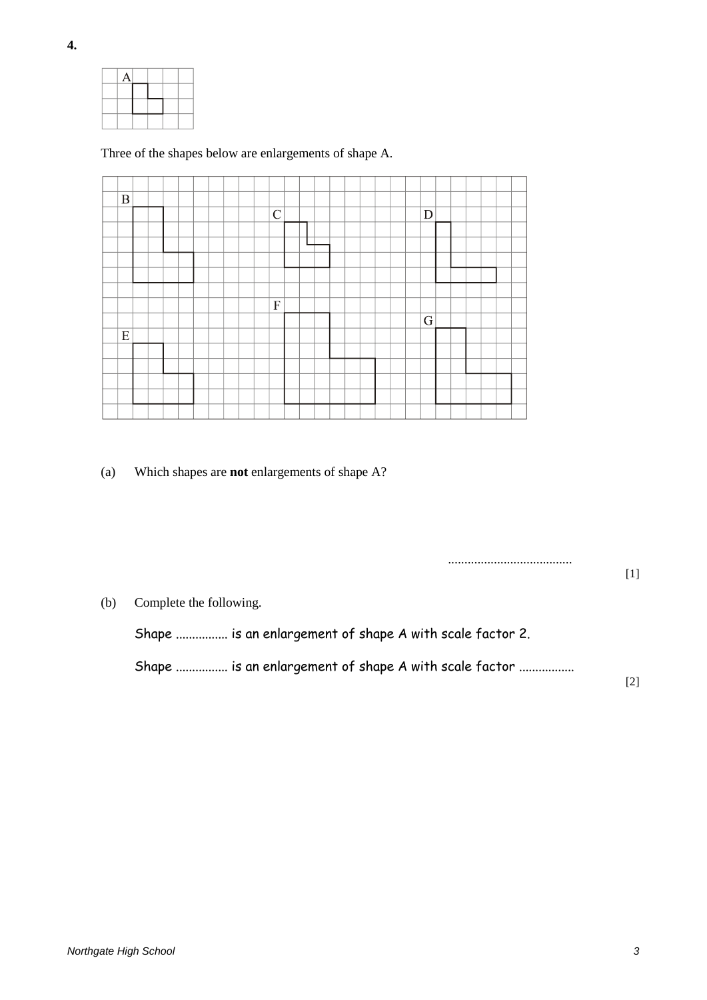|  | Α |  |  |
|--|---|--|--|
|  |   |  |  |
|  |   |  |  |
|  |   |  |  |

## Three of the shapes below are enlargements of shape A.

| $\, {\bf B}$ |  |  |  |  | $\mathcal{C}$ |  |  |  |  | D         |  |  |  |
|--------------|--|--|--|--|---------------|--|--|--|--|-----------|--|--|--|
|              |  |  |  |  |               |  |  |  |  |           |  |  |  |
|              |  |  |  |  |               |  |  |  |  |           |  |  |  |
|              |  |  |  |  |               |  |  |  |  |           |  |  |  |
|              |  |  |  |  |               |  |  |  |  |           |  |  |  |
|              |  |  |  |  |               |  |  |  |  |           |  |  |  |
|              |  |  |  |  | $\mathbf F$   |  |  |  |  |           |  |  |  |
|              |  |  |  |  |               |  |  |  |  | ${\bf G}$ |  |  |  |
| E            |  |  |  |  |               |  |  |  |  |           |  |  |  |
|              |  |  |  |  |               |  |  |  |  |           |  |  |  |
|              |  |  |  |  |               |  |  |  |  |           |  |  |  |
|              |  |  |  |  |               |  |  |  |  |           |  |  |  |
|              |  |  |  |  |               |  |  |  |  |           |  |  |  |

(a) Which shapes are **not** enlargements of shape A?

...................................... [1] (b) Complete the following. Shape ................ is an enlargement of shape A with scale factor 2. Shape ............... is an enlargement of shape A with scale factor ................ [2]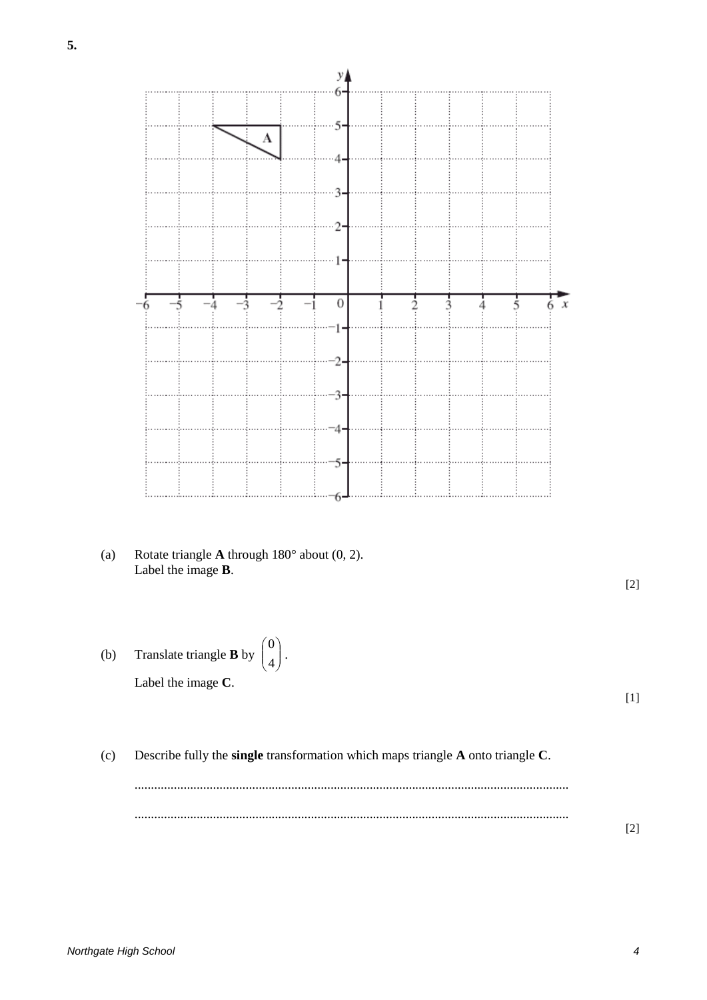

(b) Translate triangle **B** by  $\begin{bmatrix} 1 \end{bmatrix}$ . Label the image **C**. J  $\backslash$  $\overline{\phantom{a}}$ l ſ 4 0

[1]

[2]

(c) Describe fully the **single** transformation which maps triangle **A** onto triangle **C**.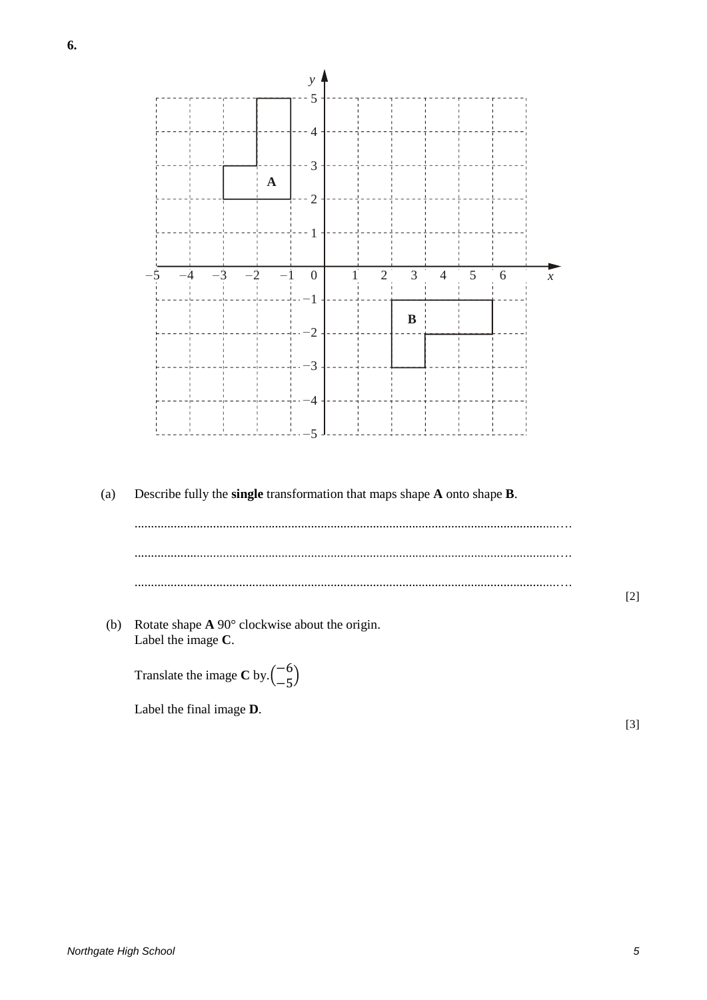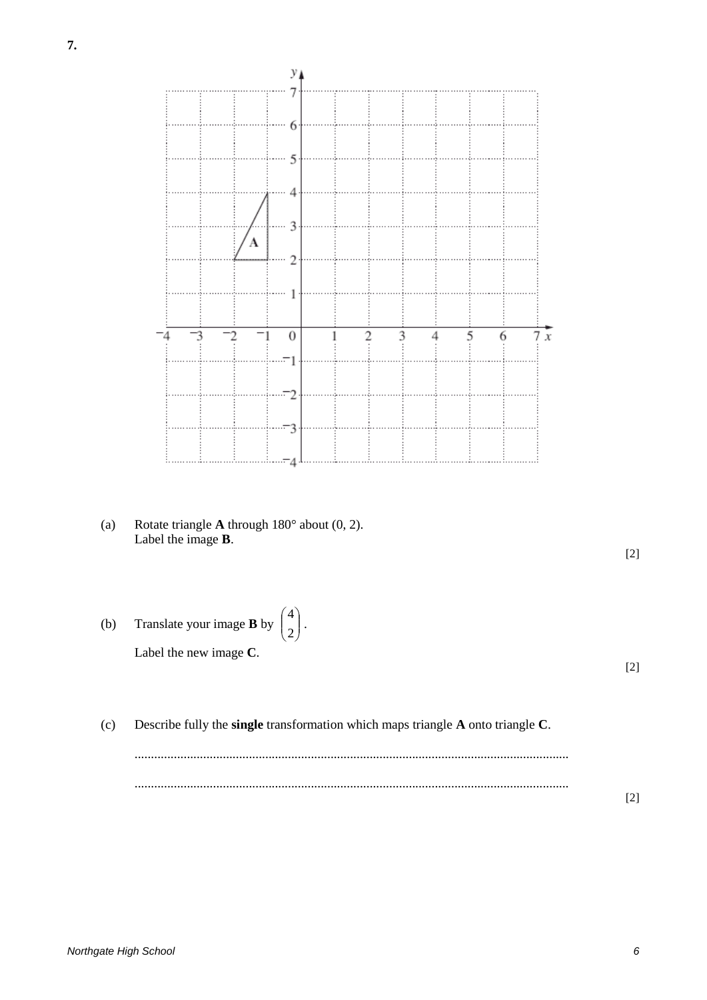

[2]

[2]

[2]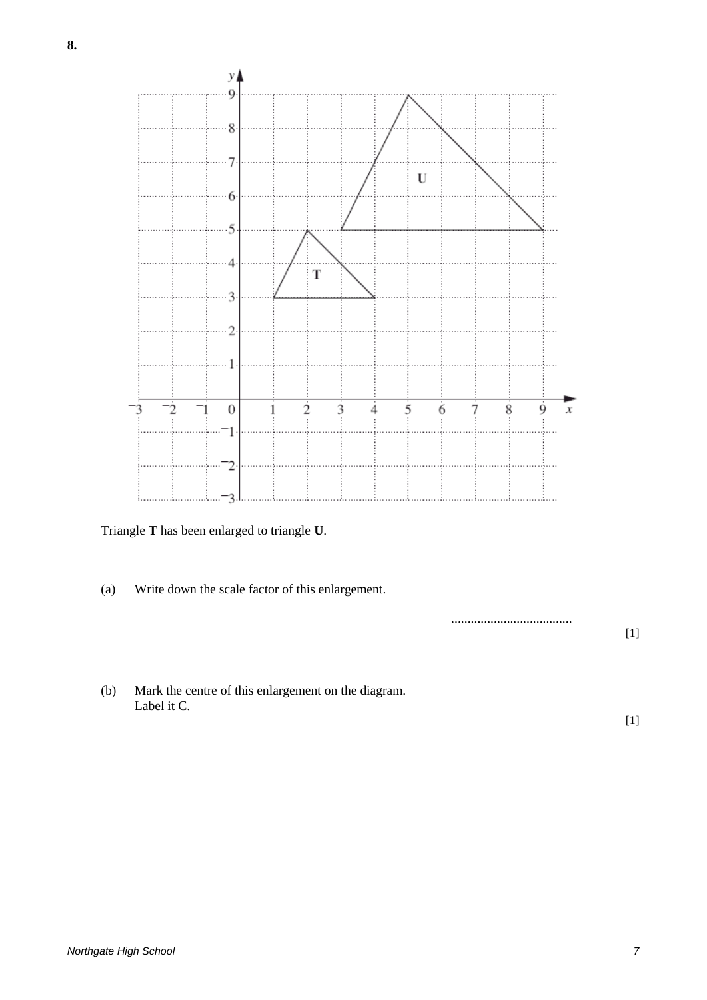

Triangle **T** has been enlarged to triangle **U**.

(a) Write down the scale factor of this enlargement.

.....................................

[1]

(b) Mark the centre of this enlargement on the diagram. Label it C.

[1]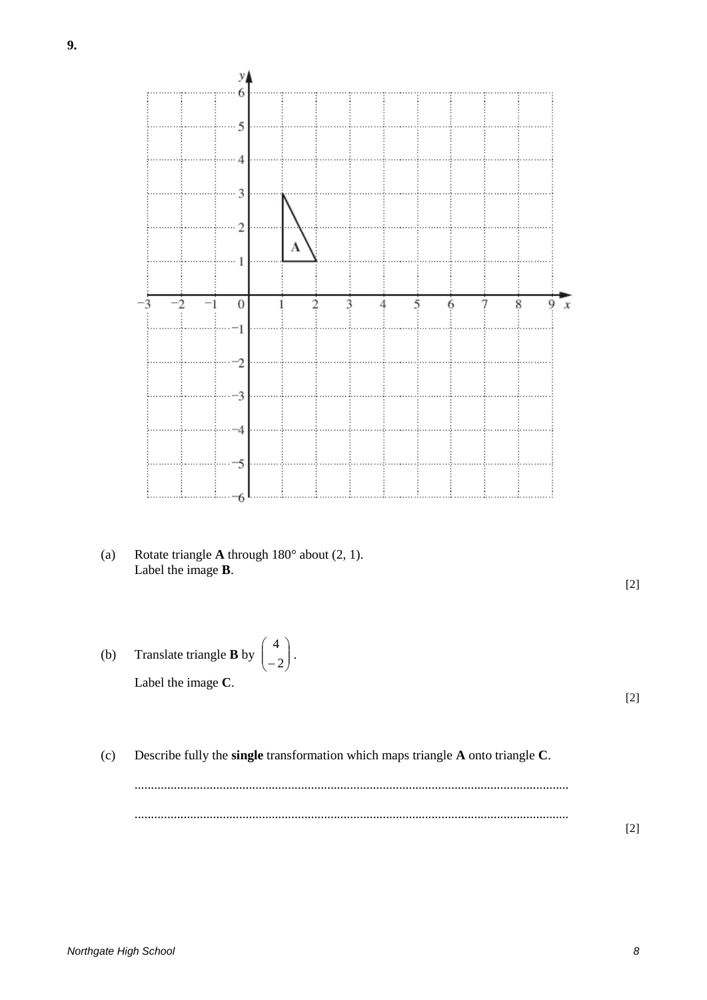

- УА 6 5  $\ddot{\phantom{0}}$  $\overline{4}$ 3  $\overline{2}$ A  $\mathbf{1}$ 3  $\overline{2}$  $^{-1}$  $\boldsymbol{0}$  $\overline{2}$ 3 5 6 8 4 1  $\overline{c}$ 3 4
- (a) Rotate triangle **A** through 180° about (2, 1). Label the image **B**.

5

6

- (b) Translate triangle **B** by  $\begin{bmatrix} 1 \end{bmatrix}$ . Label the image **C**. J  $\backslash$  $\overline{\phantom{a}}$ l ſ 2 4
- (c) Describe fully the **single** transformation which maps triangle **A** onto triangle **C**.

[2]

9

. . . . . . .

 $\bar{x}$ 

[2]

[2]